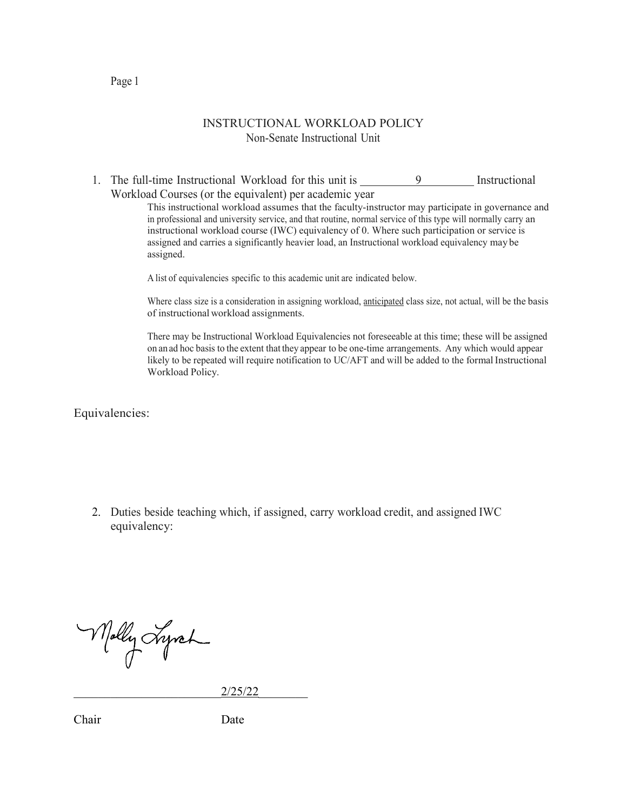## INSTRUCTIONAL WORKLOAD POLICY Non-Senate Instructional Unit

1. The full-time Instructional Workload for this unit is \_\_\_\_\_\_\_\_\_\_\_\_\_\_\_\_\_\_\_\_\_\_\_ Instructional Workload Courses (or the equivalent) per academic year

> This instructional workload assumes that the faculty-instructor may participate in governance and in professional and university service, and that routine, normal service of this type will normally carry an instructional workload course (IWC) equivalency of 0. Where such participation or service is assigned and carries a significantly heavier load, an Instructional workload equivalency may be assigned.

A list of equivalencies specific to this academic unit are indicated below.

Where class size is a consideration in assigning workload, anticipated class size, not actual, will be the basis of instructional workload assignments.

There may be Instructional Workload Equivalencies not foreseeable at this time; these will be assigned on an ad hoc basis to the extent that they appear to be one-time arrangements. Any which would appear likely to be repeated will require notification to UC/AFT and will be added to the formal Instructional Workload Policy.

Equivalencies:

2. Duties beside teaching which, if assigned, carry workload credit, and assigned IWC equivalency:

Molly Lyrch

\_\_\_\_\_\_\_\_\_\_\_\_\_\_\_\_\_\_\_\_\_\_\_\_2/25/22\_\_\_\_\_\_\_\_

Chair Date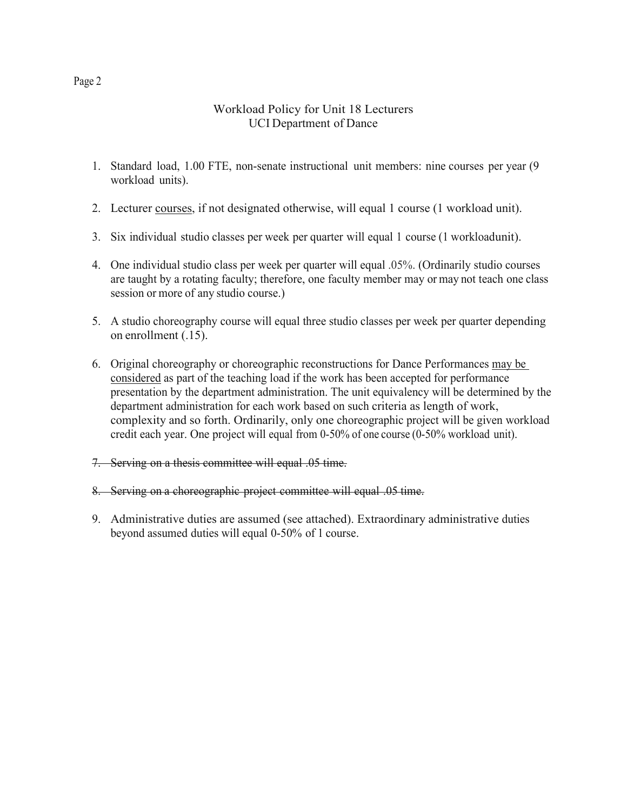## Workload Policy for Unit 18 Lecturers UCI Department of Dance

- 1. Standard load, 1.00 FTE, non-senate instructional unit members: nine courses per year (9 workload units).
- 2. Lecturer courses, if not designated otherwise, will equal 1 course (1 workload unit).
- 3. Six individual studio classes per week per quarter will equal 1 course (1 workloadunit).
- 4. One individual studio class per week per quarter will equal .05%. (Ordinarily studio courses are taught by a rotating faculty; therefore, one faculty member may or may not teach one class session or more of any studio course.)
- 5. A studio choreography course will equal three studio classes per week per quarter depending on enrollment (.15).
- 6. Original choreography or choreographic reconstructions for Dance Performances may be considered as part of the teaching load if the work has been accepted for performance presentation by the department administration. The unit equivalency will be determined by the department administration for each work based on such criteria as length of work, complexity and so forth. Ordinarily, only one choreographic project will be given workload credit each year. One project will equal from 0-50% of one course (0-50% workload unit).
- 7. Serving on a thesis committee will equal .05 time.
- 8. Serving on a choreographic project committee will equal .05 time.
- 9. Administrative duties are assumed (see attached). Extraordinary administrative duties beyond assumed duties will equal 0-50% of 1 course.

Page 2